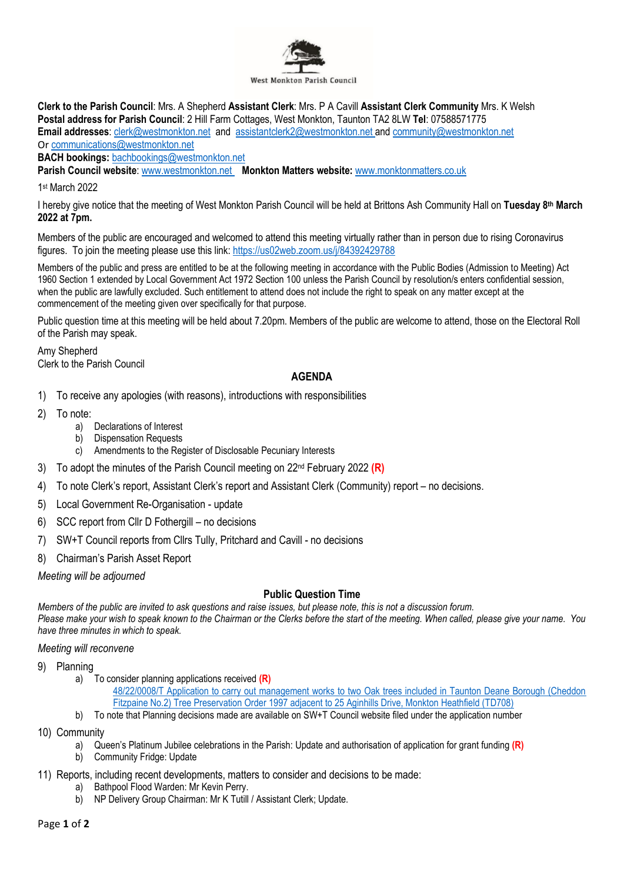

**Clerk to the Parish Council**: Mrs. A Shepherd **Assistant Clerk**: Mrs. P A Cavill **Assistant Clerk Community** Mrs. K Welsh **Postal address for Parish Council**: 2 Hill Farm Cottages, West Monkton, Taunton TA2 8LW **Tel**: 07588571775 **Email addresses**: [clerk@westmonkton.net](mailto:clerk@westmonkton.net) and [assistantclerk2@westmonkton.net](mailto:assistantclerk2@westmonkton.net) an[d community@westmonkton.net](mailto:community@westmonkton.net) Or [communications@westmonkton.net](mailto:communications@westmonkton.net)

**BACH bookings:** [bachbookings@westmonkton.net](mailto:bachbookings@westmonkton.net)

**Parish Council website**: [www.westmonkton.net](http://www.westmonkton.net/) **Monkton Matters website:** [www.monktonmatters.co.uk](http://www.monktonmatters.co.uk/)

1 st March 2022

I hereby give notice that the meeting of West Monkton Parish Council will be held at Brittons Ash Community Hall on **Tuesday 8 th March 2022 at 7pm.**

Members of the public are encouraged and welcomed to attend this meeting virtually rather than in person due to rising Coronavirus figures. To join the meeting please use this link:<https://us02web.zoom.us/j/84392429788>

Members of the public and press are entitled to be at the following meeting in accordance with the Public Bodies (Admission to Meeting) Act 1960 Section 1 extended by Local Government Act 1972 Section 100 unless the Parish Council by resolution/s enters confidential session, when the public are lawfully excluded. Such entitlement to attend does not include the right to speak on any matter except at the commencement of the meeting given over specifically for that purpose.

Public question time at this meeting will be held about 7.20pm. Members of the public are welcome to attend, those on the Electoral Roll of the Parish may speak.

Amy Shepherd Clerk to the Parish Council

## **AGENDA**

- 1) To receive any apologies (with reasons), introductions with responsibilities
- 2) To note:
	- a) Declarations of Interest
	- b) Dispensation Requests
	- c) Amendments to the Register of Disclosable Pecuniary Interests
- 3) To adopt the minutes of the Parish Council meeting on 22nd February 2022 **(R)**
- 4) To note Clerk's report, Assistant Clerk's report and Assistant Clerk (Community) report no decisions.
- 5) Local Government Re-Organisation update
- 6) SCC report from Cllr D Fothergill no decisions
- 7) SW+T Council reports from Cllrs Tully, Pritchard and Cavill no decisions
- 8) Chairman's Parish Asset Report

*Meeting will be adjourned*

## **Public Question Time**

*Members of the public are invited to ask questions and raise issues, but please note, this is not a discussion forum. Please make your wish to speak known to the Chairman or the Clerks before the start of the meeting. When called, please give your name. You have three minutes in which to speak.*

*Meeting will reconvene*

- 9) Planning
	- a) To consider planning applications received **(R)** [48/22/0008/T Application to carry out management works to two Oak trees included in Taunton Deane Borough \(Cheddon](https://www3.somersetwestandtaunton.gov.uk/asp/webpages/plan/PlAppDets.asp?casefullref=48/22/0008/T&QC=8tWC1)  [Fitzpaine No.2\) Tree Preservation Order 1997 adjacent to 25 Aginhills Drive, Monkton Heathfield \(TD708\)](https://www3.somersetwestandtaunton.gov.uk/asp/webpages/plan/PlAppDets.asp?casefullref=48/22/0008/T&QC=8tWC1)
	- b) To note that Planning decisions made are available on SW+T Council website filed under the application number
- 10) Community
	- a) Queen's Platinum Jubilee celebrations in the Parish: Update and authorisation of application for grant funding **(R)**
	- b) Community Fridge: Update
- 11) Reports, including recent developments, matters to consider and decisions to be made:
	- a) Bathpool Flood Warden: Mr Kevin Perry.
	- b) NP Delivery Group Chairman: Mr K Tutill / Assistant Clerk; Update.